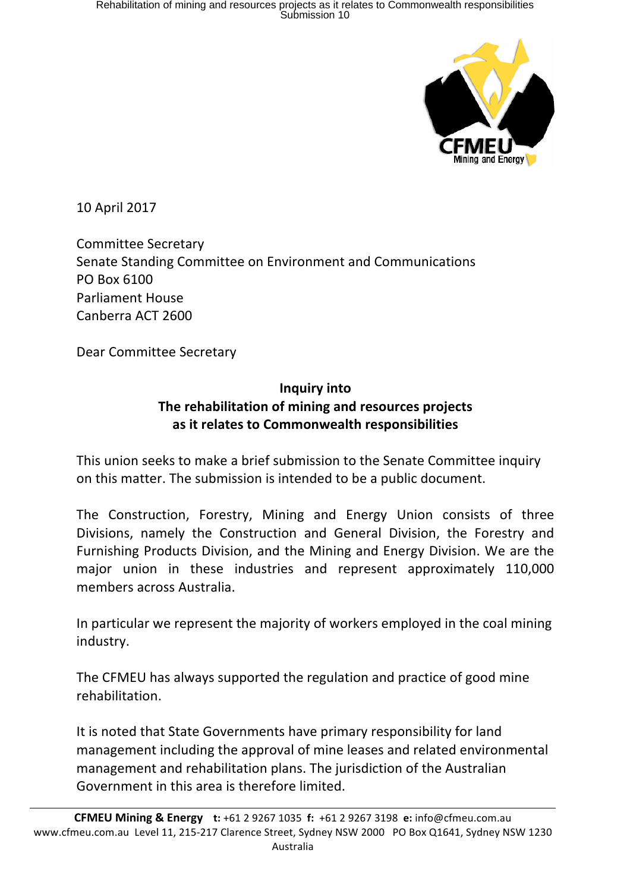

10 April 2017

Committee Secretary Senate Standing Committee on Environment and Communications PO Box 6100 Parliament House Canberra ACT 2600

Dear Committee Secretary

# **Inquiry into** The rehabilitation of mining and resources projects **as it relates to Commonwealth responsibilities**

This union seeks to make a brief submission to the Senate Committee inquiry on this matter. The submission is intended to be a public document.

The Construction, Forestry, Mining and Energy Union consists of three Divisions, namely the Construction and General Division, the Forestry and Furnishing Products Division, and the Mining and Energy Division. We are the major union in these industries and represent approximately 110,000 members across Australia.

In particular we represent the majority of workers employed in the coal mining industry.

The CFMEU has always supported the regulation and practice of good mine rehabilitation. 

It is noted that State Governments have primary responsibility for land management including the approval of mine leases and related environmental management and rehabilitation plans. The jurisdiction of the Australian Government in this area is therefore limited.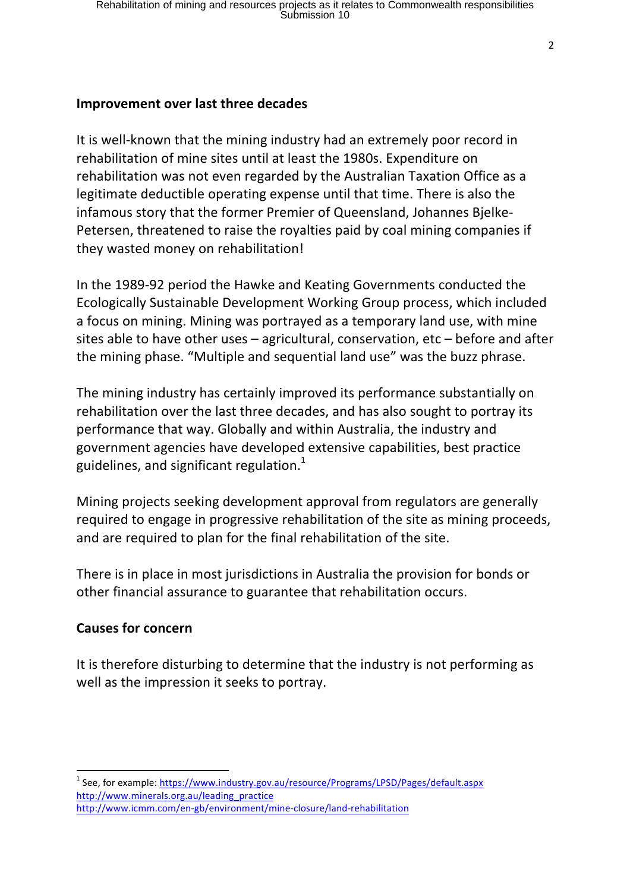#### **Improvement over last three decades**

It is well-known that the mining industry had an extremely poor record in rehabilitation of mine sites until at least the 1980s. Expenditure on rehabilitation was not even regarded by the Australian Taxation Office as a legitimate deductible operating expense until that time. There is also the infamous story that the former Premier of Queensland, Johannes Bjelke-Petersen, threatened to raise the royalties paid by coal mining companies if they wasted money on rehabilitation!

In the 1989-92 period the Hawke and Keating Governments conducted the Ecologically Sustainable Development Working Group process, which included a focus on mining. Mining was portrayed as a temporary land use, with mine sites able to have other uses  $-$  agricultural, conservation, etc  $-$  before and after the mining phase. "Multiple and sequential land use" was the buzz phrase.

The mining industry has certainly improved its performance substantially on rehabilitation over the last three decades, and has also sought to portray its performance that way. Globally and within Australia, the industry and government agencies have developed extensive capabilities, best practice guidelines, and significant regulation. $<sup>1</sup>$ </sup>

Mining projects seeking development approval from regulators are generally required to engage in progressive rehabilitation of the site as mining proceeds, and are required to plan for the final rehabilitation of the site.

There is in place in most jurisdictions in Australia the provision for bonds or other financial assurance to guarantee that rehabilitation occurs.

### **Causes for concern**

<u> 1989 - Johann Stein, fransk politik (d. 1989)</u>

It is therefore disturbing to determine that the industry is not performing as well as the impression it seeks to portray.

 $1$  See, for example: https://www.industry.gov.au/resource/Programs/LPSD/Pages/default.aspx http://www.minerals.org.au/leading\_practice http://www.icmm.com/en-gb/environment/mine-closure/land-rehabilitation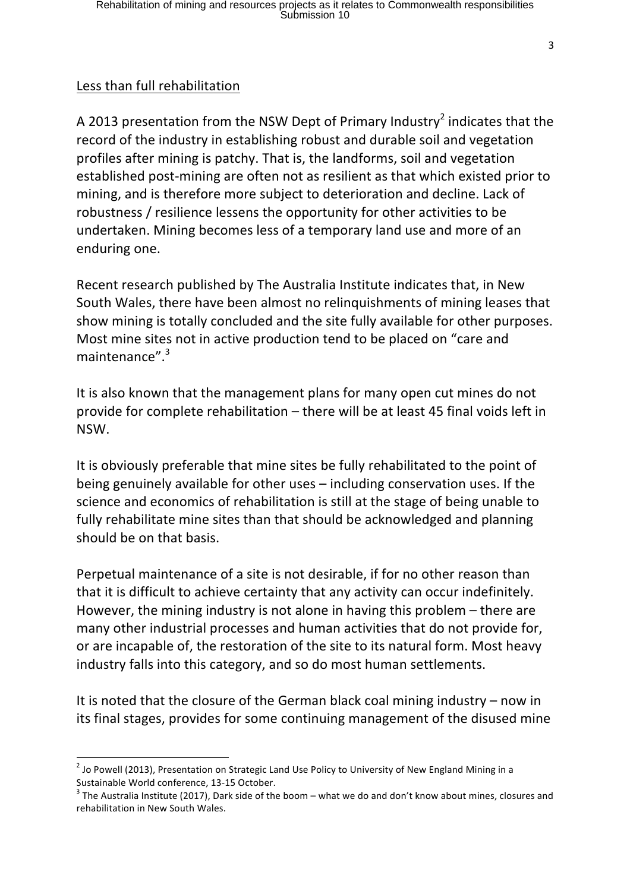## Less than full rehabilitation

A 2013 presentation from the NSW Dept of Primary Industry<sup>2</sup> indicates that the record of the industry in establishing robust and durable soil and vegetation profiles after mining is patchy. That is, the landforms, soil and vegetation established post-mining are often not as resilient as that which existed prior to mining, and is therefore more subject to deterioration and decline. Lack of robustness / resilience lessens the opportunity for other activities to be undertaken. Mining becomes less of a temporary land use and more of an enduring one.

Recent research published by The Australia Institute indicates that, in New South Wales, there have been almost no relinguishments of mining leases that show mining is totally concluded and the site fully available for other purposes. Most mine sites not in active production tend to be placed on "care and maintenance".<sup>3</sup>

It is also known that the management plans for many open cut mines do not provide for complete rehabilitation  $-$  there will be at least 45 final voids left in NSW. 

It is obviously preferable that mine sites be fully rehabilitated to the point of being genuinely available for other uses  $-$  including conservation uses. If the science and economics of rehabilitation is still at the stage of being unable to fully rehabilitate mine sites than that should be acknowledged and planning should be on that basis.

Perpetual maintenance of a site is not desirable, if for no other reason than that it is difficult to achieve certainty that any activity can occur indefinitely. However, the mining industry is not alone in having this problem  $-$  there are many other industrial processes and human activities that do not provide for, or are incapable of, the restoration of the site to its natural form. Most heavy industry falls into this category, and so do most human settlements.

It is noted that the closure of the German black coal mining industry  $-$  now in its final stages, provides for some continuing management of the disused mine

 $2$  Jo Powell (2013), Presentation on Strategic Land Use Policy to University of New England Mining in a

Sustainable World conference, 13-15 October.<br><sup>3</sup> The Australia Institute (2017), Dark side of the boom – what we do and don't know about mines, closures and rehabilitation in New South Wales.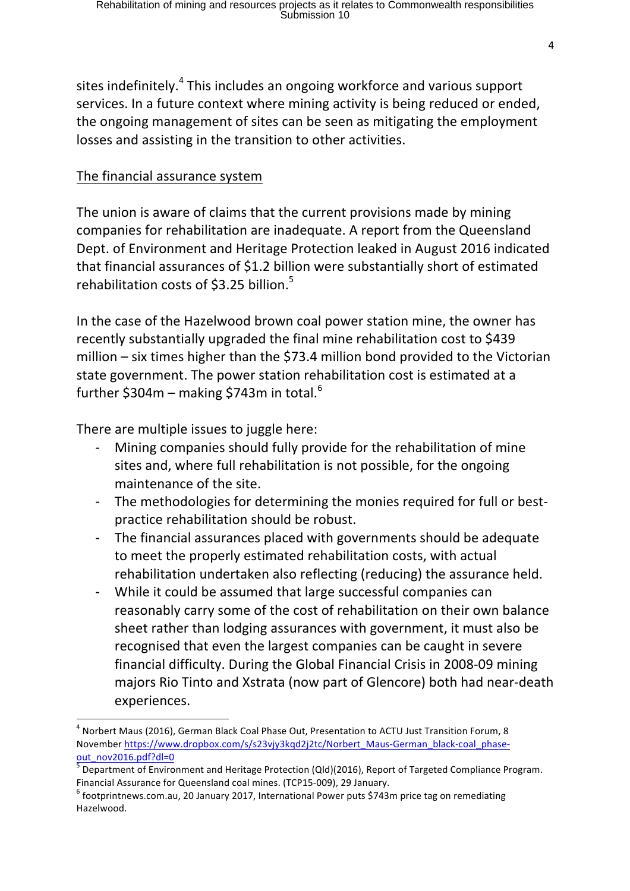sites indefinitely.<sup>4</sup> This includes an ongoing workforce and various support services. In a future context where mining activity is being reduced or ended, the ongoing management of sites can be seen as mitigating the employment losses and assisting in the transition to other activities.

### The financial assurance system

The union is aware of claims that the current provisions made by mining companies for rehabilitation are inadequate. A report from the Queensland Dept. of Environment and Heritage Protection leaked in August 2016 indicated that financial assurances of \$1.2 billion were substantially short of estimated rehabilitation costs of \$3.25 billion. $5$ 

In the case of the Hazelwood brown coal power station mine, the owner has recently substantially upgraded the final mine rehabilitation cost to \$439 million  $-$  six times higher than the \$73.4 million bond provided to the Victorian state government. The power station rehabilitation cost is estimated at a further  $$304m - making $743m$  in total.<sup>6</sup>

There are multiple issues to juggle here:

<u> 1989 - Johann Stein, fransk politik (d. 1989)</u>

- Mining companies should fully provide for the rehabilitation of mine sites and, where full rehabilitation is not possible, for the ongoing maintenance of the site.
- The methodologies for determining the monies required for full or bestpractice rehabilitation should be robust.
- The financial assurances placed with governments should be adequate to meet the properly estimated rehabilitation costs, with actual rehabilitation undertaken also reflecting (reducing) the assurance held.
- While it could be assumed that large successful companies can reasonably carry some of the cost of rehabilitation on their own balance sheet rather than lodging assurances with government, it must also be recognised that even the largest companies can be caught in severe financial difficulty. During the Global Financial Crisis in 2008-09 mining majors Rio Tinto and Xstrata (now part of Glencore) both had near-death experiences.

 $4$  Norbert Maus (2016), German Black Coal Phase Out, Presentation to ACTU Just Transition Forum, 8 November https://www.dropbox.com/s/s23vjy3kqd2j2tc/Norbert\_Maus-German\_black-coal\_phaseout\_nov2016.pdf?dl=0

 $\frac{5}{3}$  Department of Environment and Heritage Protection (Qld)(2016), Report of Targeted Compliance Program.

Financial Assurance for Queensland coal mines. (TCP15-009), 29 January.<br><sup>6</sup> footprintnews.com.au, 20 January 2017, International Power puts \$743m price tag on remediating Hazelwood.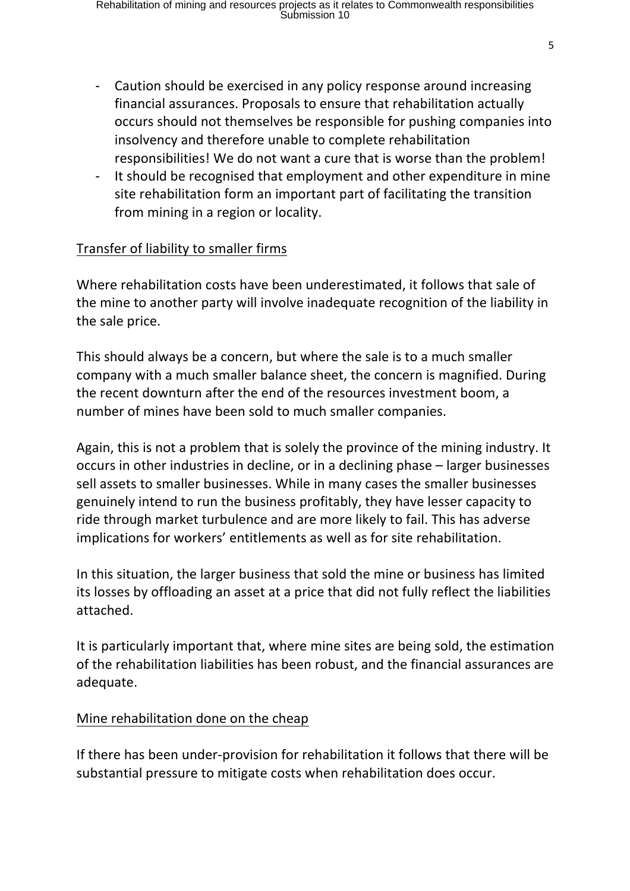- Caution should be exercised in any policy response around increasing financial assurances. Proposals to ensure that rehabilitation actually occurs should not themselves be responsible for pushing companies into insolvency and therefore unable to complete rehabilitation responsibilities! We do not want a cure that is worse than the problem!
- It should be recognised that employment and other expenditure in mine site rehabilitation form an important part of facilitating the transition from mining in a region or locality.

### Transfer of liability to smaller firms

Where rehabilitation costs have been underestimated, it follows that sale of the mine to another party will involve inadequate recognition of the liability in the sale price.

This should always be a concern, but where the sale is to a much smaller company with a much smaller balance sheet, the concern is magnified. During the recent downturn after the end of the resources investment boom, a number of mines have been sold to much smaller companies.

Again, this is not a problem that is solely the province of the mining industry. It occurs in other industries in decline, or in a declining phase – larger businesses sell assets to smaller businesses. While in many cases the smaller businesses genuinely intend to run the business profitably, they have lesser capacity to ride through market turbulence and are more likely to fail. This has adverse implications for workers' entitlements as well as for site rehabilitation.

In this situation, the larger business that sold the mine or business has limited its losses by offloading an asset at a price that did not fully reflect the liabilities attached.

It is particularly important that, where mine sites are being sold, the estimation of the rehabilitation liabilities has been robust, and the financial assurances are adequate.

### Mine rehabilitation done on the cheap

If there has been under-provision for rehabilitation it follows that there will be substantial pressure to mitigate costs when rehabilitation does occur.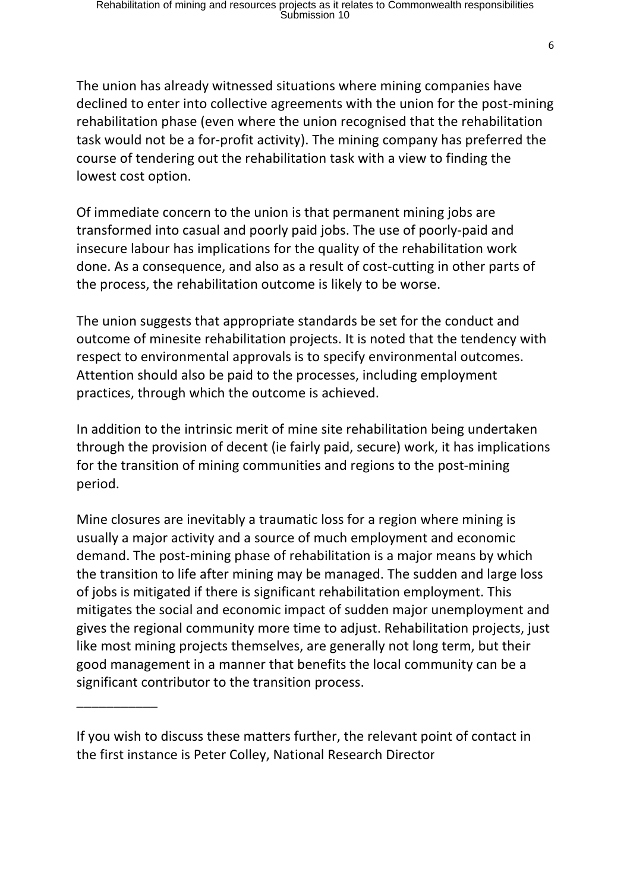The union has already witnessed situations where mining companies have declined to enter into collective agreements with the union for the post-mining rehabilitation phase (even where the union recognised that the rehabilitation task would not be a for-profit activity). The mining company has preferred the course of tendering out the rehabilitation task with a view to finding the lowest cost option.

Of immediate concern to the union is that permanent mining jobs are transformed into casual and poorly paid iobs. The use of poorly-paid and insecure labour has implications for the quality of the rehabilitation work done. As a consequence, and also as a result of cost-cutting in other parts of the process, the rehabilitation outcome is likely to be worse.

The union suggests that appropriate standards be set for the conduct and outcome of minesite rehabilitation projects. It is noted that the tendency with respect to environmental approvals is to specify environmental outcomes. Attention should also be paid to the processes, including employment practices, through which the outcome is achieved.

In addition to the intrinsic merit of mine site rehabilitation being undertaken through the provision of decent (ie fairly paid, secure) work, it has implications for the transition of mining communities and regions to the post-mining period.

Mine closures are inevitably a traumatic loss for a region where mining is usually a major activity and a source of much employment and economic demand. The post-mining phase of rehabilitation is a major means by which the transition to life after mining may be managed. The sudden and large loss of jobs is mitigated if there is significant rehabilitation employment. This mitigates the social and economic impact of sudden major unemployment and gives the regional community more time to adjust. Rehabilitation projects, just like most mining projects themselves, are generally not long term, but their good management in a manner that benefits the local community can be a significant contributor to the transition process.

If you wish to discuss these matters further, the relevant point of contact in the first instance is Peter Colley, National Research Director

\_\_\_\_\_\_\_\_\_\_\_